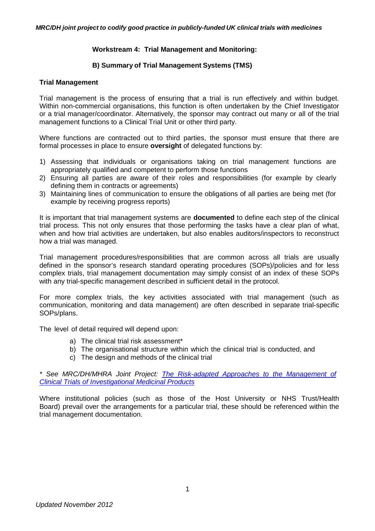# **Workstream 4: Trial Management and Monitoring:**

## **B) Summary of Trial Management Systems (TMS)**

#### **Trial Management**

Trial management is the process of ensuring that a trial is run effectively and within budget. Within non-commercial organisations, this function is often undertaken by the Chief Investigator or a trial manager/coordinator. Alternatively, the sponsor may contract out many or all of the trial management functions to a Clinical Trial Unit or other third party.

Where functions are contracted out to third parties, the sponsor must ensure that there are formal processes in place to ensure **oversight** of delegated functions by:

- 1) Assessing that individuals or organisations taking on trial management functions are appropriately qualified and competent to perform those functions
- 2) Ensuring all parties are aware of their roles and responsibilities (for example by clearly defining them in contracts or agreements)
- 3) Maintaining lines of communication to ensure the obligations of all parties are being met (for example by receiving progress reports)

It is important that trial management systems are **documented** to define each step of the clinical trial process. This not only ensures that those performing the tasks have a clear plan of what, when and how trial activities are undertaken, but also enables auditors/inspectors to reconstruct how a trial was managed.

Trial management procedures/responsibilities that are common across all trials are usually defined in the sponsor's research standard operating procedures (SOPs)/policies and for less complex trials, trial management documentation may simply consist of an index of these SOPs with any trial-specific management described in sufficient detail in the protocol.

For more complex trials, the key activities associated with trial management (such as communication, monitoring and data management) are often described in separate trial-specific SOPs/plans.

The level of detail required will depend upon:

- a) The clinical trial risk assessment\*
- b) The organisational structure within which the clinical trial is conducted, and
- c) The design and methods of the clinical trial

*\* See MRC/DH/MHRA Joint Project: [The Risk-adapted Approaches](http://forums.mhra.gov.uk/forumdisplay.php?22-Risk-adaptive-approachhttp://forums.mhra.gov.uk/forumdisplay.php?22-Risk-adaptive-approach) to the Management of Clinical Trials of [Investigational Medicinal Products](http://forums.mhra.gov.uk/forumdisplay.php?22-Risk-adaptive-approachhttp://forums.mhra.gov.uk/forumdisplay.php?22-Risk-adaptive-approach)*

Where institutional policies (such as those of the Host University or NHS Trust/Health Board) prevail over the arrangements for a particular trial, these should be referenced within the trial management documentation.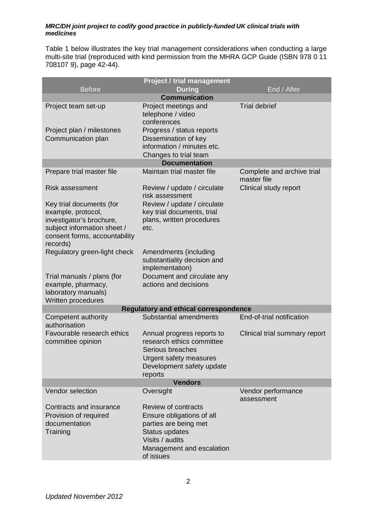Table 1 below illustrates the key trial management considerations when conducting a large multi-site trial (reproduced with kind permission from the MHRA GCP Guide (ISBN 978 0 11 708107 9), page 42-44).

|                                                                                                                                                        | <b>Project / trial management</b>                                                                                                                        |                                           |  |
|--------------------------------------------------------------------------------------------------------------------------------------------------------|----------------------------------------------------------------------------------------------------------------------------------------------------------|-------------------------------------------|--|
| <b>Before</b>                                                                                                                                          | <b>During</b>                                                                                                                                            | End / After                               |  |
| <b>Communication</b>                                                                                                                                   |                                                                                                                                                          |                                           |  |
| Project team set-up<br>Project plan / milestones                                                                                                       | Project meetings and<br>telephone / video<br>conferences<br>Progress / status reports                                                                    | <b>Trial debrief</b>                      |  |
| Communication plan                                                                                                                                     | Dissemination of key<br>information / minutes etc.<br>Changes to trial team                                                                              |                                           |  |
|                                                                                                                                                        | <b>Documentation</b>                                                                                                                                     |                                           |  |
| Prepare trial master file                                                                                                                              | Maintain trial master file                                                                                                                               | Complete and archive trial<br>master file |  |
| Risk assessment                                                                                                                                        | Review / update / circulate<br>risk assessment                                                                                                           | Clinical study report                     |  |
| Key trial documents (for<br>example, protocol,<br>investigator's brochure,<br>subject information sheet /<br>consent forms, accountability<br>records) | Review / update / circulate<br>key trial documents, trial<br>plans, written procedures<br>etc.                                                           |                                           |  |
| Regulatory green-light check                                                                                                                           | Amendments (including<br>substantiality decision and<br>implementation)                                                                                  |                                           |  |
| Trial manuals / plans (for<br>example, pharmacy,<br>laboratory manuals)<br>Written procedures                                                          | Document and circulate any<br>actions and decisions                                                                                                      |                                           |  |
|                                                                                                                                                        | <b>Regulatory and ethical correspondence</b>                                                                                                             |                                           |  |
| Competent authority<br>authorisation                                                                                                                   | Substantial amendments                                                                                                                                   | End-of-trial notification                 |  |
| Favourable research ethics<br>committee opinion                                                                                                        | Annual progress reports to<br>research ethics committee<br>Serious breaches<br>Urgent safety measures<br>Development safety update<br>reports            | Clinical trial summary report             |  |
| <b>Vendors</b>                                                                                                                                         |                                                                                                                                                          |                                           |  |
| Vendor selection                                                                                                                                       | Oversight                                                                                                                                                | Vendor performance<br>assessment          |  |
| Contracts and insurance<br>Provision of required<br>documentation<br>Training                                                                          | Review of contracts<br>Ensure obligations of all<br>parties are being met<br>Status updates<br>Visits / audits<br>Management and escalation<br>of issues |                                           |  |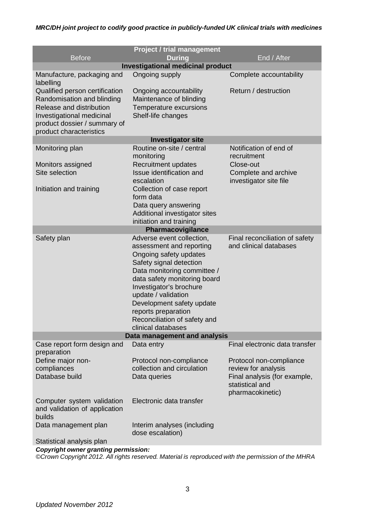|                                         | <b>Project / trial management</b>                   |                                       |  |
|-----------------------------------------|-----------------------------------------------------|---------------------------------------|--|
| <b>Before</b>                           | <b>During</b>                                       | End / After                           |  |
|                                         | <b>Investigational medicinal product</b>            |                                       |  |
|                                         |                                                     |                                       |  |
| Manufacture, packaging and<br>labelling | Ongoing supply                                      | Complete accountability               |  |
| Qualified person certification          | Ongoing accountability                              | Return / destruction                  |  |
| Randomisation and blinding              | Maintenance of blinding                             |                                       |  |
| Release and distribution                | Temperature excursions                              |                                       |  |
| Investigational medicinal               | Shelf-life changes                                  |                                       |  |
| product dossier / summary of            |                                                     |                                       |  |
| product characteristics                 |                                                     |                                       |  |
| <b>Investigator site</b>                |                                                     |                                       |  |
| Monitoring plan                         | Routine on-site / central<br>monitoring             | Notification of end of<br>recruitment |  |
| Monitors assigned                       | <b>Recruitment updates</b>                          | Close-out                             |  |
| Site selection                          | Issue identification and                            | Complete and archive                  |  |
|                                         | escalation                                          | investigator site file                |  |
| Initiation and training                 | Collection of case report                           |                                       |  |
|                                         | form data                                           |                                       |  |
|                                         | Data query answering                                |                                       |  |
|                                         | Additional investigator sites                       |                                       |  |
|                                         | initiation and training                             |                                       |  |
| Pharmacovigilance                       |                                                     |                                       |  |
| Safety plan                             | Adverse event collection,                           | Final reconciliation of safety        |  |
|                                         | assessment and reporting                            | and clinical databases                |  |
|                                         | Ongoing safety updates                              |                                       |  |
|                                         | Safety signal detection                             |                                       |  |
|                                         | Data monitoring committee /                         |                                       |  |
|                                         | data safety monitoring board                        |                                       |  |
|                                         | Investigator's brochure                             |                                       |  |
|                                         | update / validation                                 |                                       |  |
|                                         | Development safety update                           |                                       |  |
|                                         | reports preparation<br>Reconciliation of safety and |                                       |  |
|                                         | clinical databases                                  |                                       |  |
| Data management and analysis            |                                                     |                                       |  |
| Case report form design and             | Data entry                                          | Final electronic data transfer        |  |
| preparation                             |                                                     |                                       |  |
| Define major non-                       | Protocol non-compliance                             | Protocol non-compliance               |  |
| compliances                             | collection and circulation                          | review for analysis                   |  |
| Database build                          | Data queries                                        | Final analysis (for example,          |  |
|                                         |                                                     | statistical and                       |  |
|                                         |                                                     | pharmacokinetic)                      |  |
| Computer system validation              | Electronic data transfer                            |                                       |  |
| and validation of application           |                                                     |                                       |  |
| builds                                  |                                                     |                                       |  |
| Data management plan                    | Interim analyses (including                         |                                       |  |
|                                         | dose escalation)                                    |                                       |  |
| Statistical analysis plan               |                                                     |                                       |  |

*Copyright owner granting permission:*

*©Crown Copyright 2012. All rights reserved. Material is reproduced with the permission of the MHRA*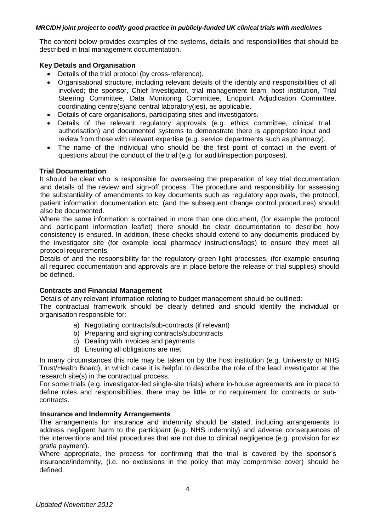The content below provides examples of the systems, details and responsibilities that should be described in trial management documentation.

# **Key Details and Organisation**

- Details of the trial protocol (by cross-reference).
- Organisational structure, including relevant details of the identity and responsibilities of all involved; the sponsor, Chief Investigator, trial management team, host institution, Trial Steering Committee, Data Monitoring Committee, Endpoint Adjudication Committee, coordinating centre(s)and central laboratory(ies), as applicable.
- Details of care organisations, participating sites and investigators.
- Details of the relevant regulatory approvals (e.g. ethics committee, clinical trial authorisation) and documented systems to demonstrate there is appropriate input and review from those with relevant expertise (e.g. service departments such as pharmacy).
- The name of the individual who should be the first point of contact in the event of questions about the conduct of the trial (e.g. for audit/inspection purposes).

## **Trial Documentation**

It should be clear who is responsible for overseeing the preparation of key trial documentation and details of the review and sign-off process. The procedure and responsibility for assessing the substantiality of amendments to key documents such as regulatory approvals, the protocol, patient information documentation etc. (and the subsequent change control procedures) should also be documented.

Where the same information is contained in more than one document, (for example the protocol and participant information leaflet) there should be clear documentation to describe how consistency is ensured. In addition, these checks should extend to any documents produced by the investigator site (for example local pharmacy instructions/logs) to ensure they meet all protocol requirements.

Details of and the responsibility for the regulatory green light processes, (for example ensuring all required documentation and approvals are in place before the release of trial supplies) should be defined.

#### **Contracts and Financial Management**

Details of any relevant information relating to budget management should be outlined:

The contractual framework should be clearly defined and should identify the individual or organisation responsible for:

- a) Negotiating contracts/sub-contracts (if relevant)
- b) Preparing and signing contracts/subcontracts
- c) Dealing with invoices and payments
- d) Ensuring all obligations are met

In many circumstances this role may be taken on by the host institution (e.g. University or NHS Trust/Health Board), in which case it is helpful to describe the role of the lead investigator at the research site(s) in the contractual process.

For some trials (e.g. investigator-led single-site trials) where in-house agreements are in place to define roles and responsibilities, there may be little or no requirement for contracts or subcontracts.

#### **Insurance and Indemnity Arrangements**

The arrangements for insurance and indemnity should be stated, including arrangements to address negligent harm to the participant (e.g. NHS indemnity) and adverse consequences of the interventions and trial procedures that are not due to clinical negligence (e.g. provision for *ex gratia* payment).

Where appropriate, the process for confirming that the trial is covered by the sponsor's insurance/indemnity, (i.e. no exclusions in the policy that may compromise cover) should be defined.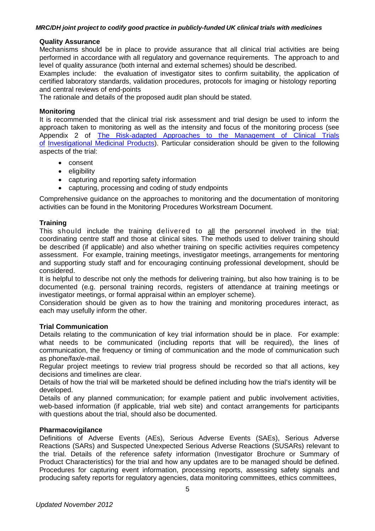### **Quality Assurance**

Mechanisms should be in place to provide assurance that all clinical trial activities are being performed in accordance with all regulatory and governance requirements. The approach to and level of quality assurance (both internal and external schemes) should be described.

Examples include: the evaluation of investigator sites to confirm suitability, the application of certified laboratory standards, validation procedures, protocols for imaging or histology reporting and central reviews of end-points

The rationale and details of the proposed audit plan should be stated.

#### **Monitoring**

It is recommended that the clinical trial risk assessment and trial design be used to inform the approach taken to monitoring as well as the intensity and focus of the monitoring process (see Appendix 2 of The [Risk-adapted](http://forums.mhra.gov.uk/forumdisplay.php?22-Risk-adaptive-approachhttp://forums.mhra.gov.uk/forumdisplay.php?22-Risk-adaptive-approach) Approaches to the Management of Clinical Trials [of](http://forums.mhra.gov.uk/forumdisplay.php?22-Risk-adaptive-approachhttp://forums.mhra.gov.uk/forumdisplay.php?22-Risk-adaptive-approach) [Investigational](http://forums.mhra.gov.uk/forumdisplay.php?22-Risk-adaptive-approachhttp://forums.mhra.gov.uk/forumdisplay.php?22-Risk-adaptive-approach) Medicinal Products</u>). Particular consideration should be given to the following aspects of the trial:

- consent
- eligibility
- capturing and reporting safety information
- capturing, processing and coding of study endpoints

Comprehensive guidance on the approaches to monitoring and the documentation of monitoring activities can be found in the Monitoring Procedures Workstream Document.

## **Training**

This should include the training delivered to all the personnel involved in the trial; coordinating centre staff and those at clinical sites. The methods used to deliver training should be described (if applicable) and also whether training on specific activities requires competency assessment. For example, training meetings, investigator meetings, arrangements for mentoring and supporting study staff and for encouraging continuing professional development, should be considered.

It is helpful to describe not only the methods for delivering training, but also how training is to be documented (e.g. personal training records, registers of attendance at training meetings or investigator meetings, or formal appraisal within an employer scheme).

Consideration should be given as to how the training and monitoring procedures interact, as each may usefully inform the other.

### **Trial Communication**

Details relating to the communication of key trial information should be in place. For example: what needs to be communicated (including reports that will be required), the lines of communication, the frequency or timing of communication and the mode of communication such as phone/fax/e-mail.

Regular project meetings to review trial progress should be recorded so that all actions, key decisions and timelines are clear.

Details of how the trial will be marketed should be defined including how the trial's identity will be developed.

Details of any planned communication; for example patient and public involvement activities, web-based information (if applicable, trial web site) and contact arrangements for participants with questions about the trial, should also be documented.

# **Pharmacovigilance**

Definitions of Adverse Events (AEs), Serious Adverse Events (SAEs), Serious Adverse Reactions (SARs) and Suspected Unexpected Serious Adverse Reactions (SUSARs) relevant to the trial. Details of the reference safety information (Investigator Brochure or Summary of Product Characteristics) for the trial and how any updates are to be managed should be defined. Procedures for capturing event information, processing reports, assessing safety signals and producing safety reports for regulatory agencies, data monitoring committees, ethics committees,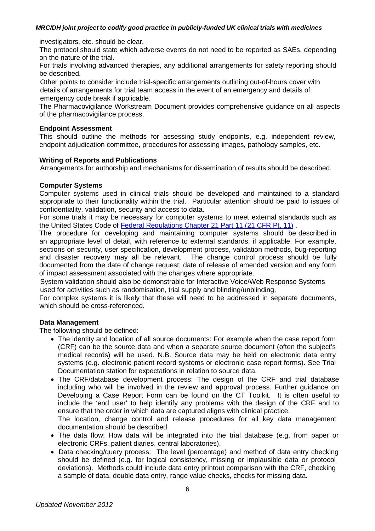investigators, etc. should be clear.

The protocol should state which adverse events do not need to be reported as SAEs, depending on the nature of the trial.

For trials involving advanced therapies, any additional arrangements for safety reporting should be described.

Other points to consider include trial-specific arrangements outlining out-of-hours cover with details of arrangements for trial team access in the event of an emergency and details of emergency code break if applicable.

The Pharmacovigilance Workstream Document provides comprehensive guidance on all aspects of the pharmacovigilance process.

### **Endpoint Assessment**

This should outline the methods for assessing study endpoints, e.g. independent review, endpoint adjudication committee, procedures for assessing images, pathology samples, etc.

## **Writing of Reports and Publications**

Arrangements for authorship and mechanisms for dissemination of results should be described.

## **Computer Systems**

Computer systems used in clinical trials should be developed and maintained to a standard appropriate to their functionality within the trial. Particular attention should be paid to issues of confidentiality, validation, security and access to data.

For some trials it may be necessary for computer systems to meet external standards such as the United States Code of [Federal Regulations](http://www.accessdata.fda.gov/scripts/cdrh/cfdocs/cfCFR/CFRSearch.cfm?CFRPart=11&showFR=1) Chapter 21 Part 11 (21 CFR Pt. 11) .

The procedure for developing and maintaining computer systems should be described in an appropriate level of detail, with reference to external standards, if applicable. For example, sections on security, user specification, development process, validation methods, bug-reporting and disaster recovery may all be relevant. The change control process should be fully documented from the date of change request; date of release of amended version and any form of impact assessment associated with the changes where appropriate.

System validation should also be demonstrable for Interactive Voice/Web Response Systems used for activities such as randomisation, trial supply and blinding/unblinding.

For complex systems it is likely that these will need to be addressed in separate documents, which should be cross-referenced.

# **Data Management**

The following should be defined:

- The identity and location of all source documents: For example when the case report form (CRF) can be the source data and when a separate source document (often the subject's medical records) will be used. N.B. Source data may be held on electronic data entry systems (e.g. electronic patient record systems or electronic case report forms). See Trial Documentation station for expectations in relation to source data.
- The CRF/database development process: The design of the CRF and trial database including who will be involved in the review and approval process. Further guidance on Developing a Case Report Form can be found on the CT Toolkit. It is often useful to include the 'end user' to help identify any problems with the design of the CRF and to ensure that the order in which data are captured aligns with clinical practice.

The location, change control and release procedures for all key data management documentation should be described.

- The data flow: How data will be integrated into the trial database (e.g. from paper or electronic CRFs, patient diaries, central laboratories).
- Data checking/query process: The level (percentage) and method of data entry checking should be defined (e.g. for logical consistency, missing or implausible data or protocol deviations). Methods could include data entry printout comparison with the CRF, checking a sample of data, double data entry, range value checks, checks for missing data.